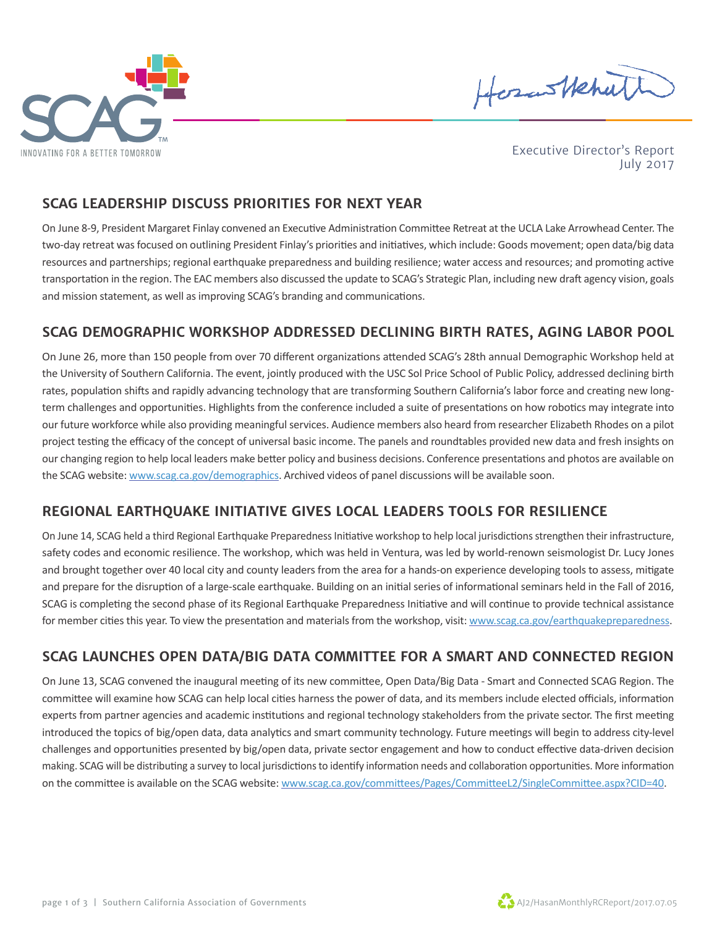

HosasHehutt

Executive Director's Report July 2017

#### **SCAG LEADERSHIP DISCUSS PRIORITIES FOR NEXT YEAR**

On June 8-9, President Margaret Finlay convened an Executive Administration Committee Retreat at the UCLA Lake Arrowhead Center. The two-day retreat was focused on outlining President Finlay's priorities and initiatives, which include: Goods movement; open data/big data resources and partnerships; regional earthquake preparedness and building resilience; water access and resources; and promoting active transportation in the region. The EAC members also discussed the update to SCAG's Strategic Plan, including new draft agency vision, goals and mission statement, as well as improving SCAG's branding and communications.

### **SCAG DEMOGRAPHIC WORKSHOP ADDRESSED DECLINING BIRTH RATES, AGING LABOR POOL**

On June 26, more than 150 people from over 70 different organizations attended SCAG's 28th annual Demographic Workshop held at the University of Southern California. The event, jointly produced with the USC Sol Price School of Public Policy, addressed declining birth rates, population shifts and rapidly advancing technology that are transforming Southern California's labor force and creating new longterm challenges and opportunities. Highlights from the conference included a suite of presentations on how robotics may integrate into our future workforce while also providing meaningful services. Audience members also heard from researcher Elizabeth Rhodes on a pilot project testing the efficacy of the concept of universal basic income. The panels and roundtables provided new data and fresh insights on our changing region to help local leaders make better policy and business decisions. Conference presentations and photos are available on the SCAG website: www.scag.ca.gov/demographics. Archived videos of panel discussions will be available soon.

# **REGIONAL EARTHQUAKE INITIATIVE GIVES LOCAL LEADERS TOOLS FOR RESILIENCE**

On June 14, SCAG held a third Regional Earthquake Preparedness Initiative workshop to help local jurisdictions strengthen their infrastructure, safety codes and economic resilience. The workshop, which was held in Ventura, was led by world-renown seismologist Dr. Lucy Jones and brought together over 40 local city and county leaders from the area for a hands-on experience developing tools to assess, mitigate and prepare for the disruption of a large-scale earthquake. Building on an initial series of informational seminars held in the Fall of 2016, SCAG is completing the second phase of its Regional Earthquake Preparedness Initiative and will continue to provide technical assistance for member cities this year. To view the presentation and materials from the workshop, visit: www.scag.ca.gov/earthquakepreparedness.

# **SCAG LAUNCHES OPEN DATA/BIG DATA COMMITTEE FOR A SMART AND CONNECTED REGION**

On June 13, SCAG convened the inaugural meeting of its new committee, Open Data/Big Data - Smart and Connected SCAG Region. The committee will examine how SCAG can help local cities harness the power of data, and its members include elected officials, information experts from partner agencies and academic institutions and regional technology stakeholders from the private sector. The first meeting introduced the topics of big/open data, data analytics and smart community technology. Future meetings will begin to address city-level challenges and opportunities presented by big/open data, private sector engagement and how to conduct effective data-driven decision making. SCAG will be distributing a survey to local jurisdictions to identify information needs and collaboration opportunities. More information on the committee is available on the SCAG website: www.scag.ca.gov/committees/Pages/CommitteeL2/SingleCommittee.aspx?CID=40.

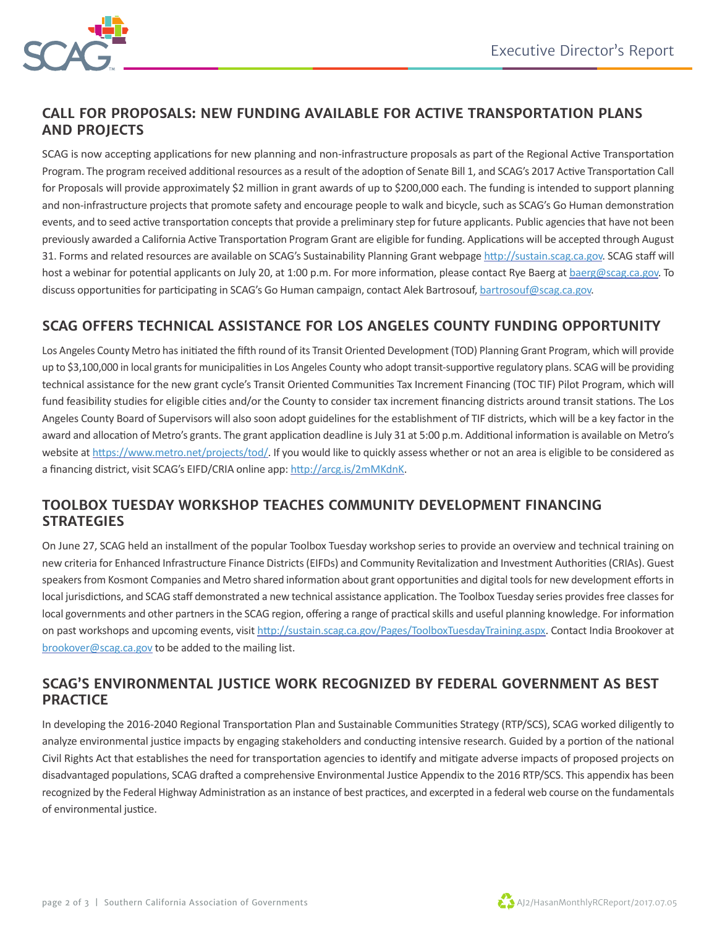

# **CALL FOR PROPOSALS: NEW FUNDING AVAILABLE FOR ACTIVE TRANSPORTATION PLANS AND PROJECTS**

SCAG is now accepting applications for new planning and non-infrastructure proposals as part of the Regional Active Transportation Program. The program received additional resources as a result of the adoption of Senate Bill 1, and SCAG's 2017 Active Transportation Call for Proposals will provide approximately \$2 million in grant awards of up to \$200,000 each. The funding is intended to support planning and non-infrastructure projects that promote safety and encourage people to walk and bicycle, such as SCAG's Go Human demonstration events, and to seed active transportation concepts that provide a preliminary step for future applicants. Public agencies that have not been previously awarded a California Active Transportation Program Grant are eligible for funding. Applications will be accepted through August 31. Forms and related resources are available on SCAG's Sustainability Planning Grant webpage http://sustain.scag.ca.gov. SCAG staff will host a webinar for potential applicants on July 20, at 1:00 p.m. For more information, please contact Rye Baerg at baerg@scag.ca.gov. To discuss opportunities for participating in SCAG's Go Human campaign, contact Alek Bartrosouf, bartrosouf@scag.ca.gov.

# **SCAG OFFERS TECHNICAL ASSISTANCE FOR LOS ANGELES COUNTY FUNDING OPPORTUNITY**

Los Angeles County Metro has initiated the fifth round of its Transit Oriented Development (TOD) Planning Grant Program, which will provide up to \$3,100,000 in local grants for municipalities in Los Angeles County who adopt transit-supportive regulatory plans. SCAG will be providing technical assistance for the new grant cycle's Transit Oriented Communities Tax Increment Financing (TOC TIF) Pilot Program, which will fund feasibility studies for eligible cities and/or the County to consider tax increment financing districts around transit stations. The Los Angeles County Board of Supervisors will also soon adopt guidelines for the establishment of TIF districts, which will be a key factor in the award and allocation of Metro's grants. The grant application deadline is July 31 at 5:00 p.m. Additional information is available on Metro's website at https://www.metro.net/projects/tod/. If you would like to quickly assess whether or not an area is eligible to be considered as a financing district, visit SCAG's EIFD/CRIA online app: http://arcg.is/2mMKdnK.

# **TOOLBOX TUESDAY WORKSHOP TEACHES COMMUNITY DEVELOPMENT FINANCING STRATEGIES**

On June 27, SCAG held an installment of the popular Toolbox Tuesday workshop series to provide an overview and technical training on new criteria for Enhanced Infrastructure Finance Districts (EIFDs) and Community Revitalization and Investment Authorities (CRIAs). Guest speakers from Kosmont Companies and Metro shared information about grant opportunities and digital tools for new development efforts in local jurisdictions, and SCAG staff demonstrated a new technical assistance application. The Toolbox Tuesday series provides free classes for local governments and other partners in the SCAG region, offering a range of practical skills and useful planning knowledge. For information on past workshops and upcoming events, visit http://sustain.scag.ca.gov/Pages/ToolboxTuesdayTraining.aspx. Contact India Brookover at brookover@scag.ca.gov to be added to the mailing list.

# **SCAG'S ENVIRONMENTAL JUSTICE WORK RECOGNIZED BY FEDERAL GOVERNMENT AS BEST PRACTICE**

In developing the 2016-2040 Regional Transportation Plan and Sustainable Communities Strategy (RTP/SCS), SCAG worked diligently to analyze environmental justice impacts by engaging stakeholders and conducting intensive research. Guided by a portion of the national Civil Rights Act that establishes the need for transportation agencies to identify and mitigate adverse impacts of proposed projects on disadvantaged populations, SCAG drafted a comprehensive Environmental Justice Appendix to the 2016 RTP/SCS. This appendix has been recognized by the Federal Highway Administration as an instance of best practices, and excerpted in a federal web course on the fundamentals of environmental justice.